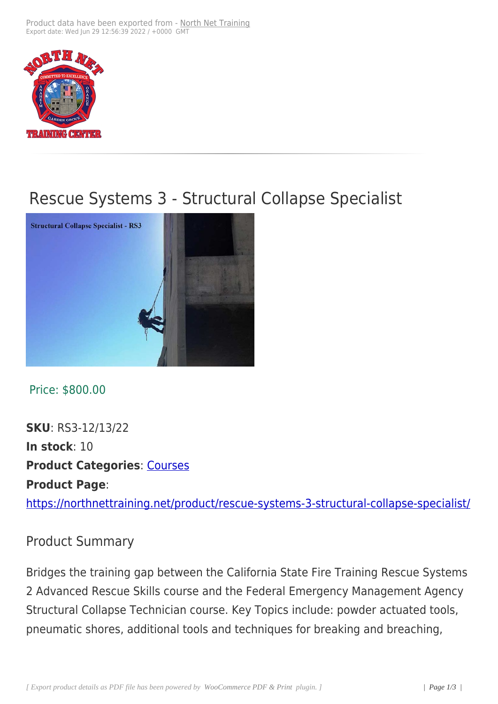

## Rescue Systems 3 - Structural Collapse Specialist



Price: \$800.00

**SKU**: RS3-12/13/22 **In stock**: 10 **Product Categories: Courses Product Page**: https://northnettrainin[g.net/pro](https://northnettraining.net/product-category/courses/)duct/rescue-systems-3-structural-collapse-specialist/

## [Product Summary](https://northnettraining.net/product/rescue-systems-3-structural-collapse-specialist/)

Bridges the training gap between the California State Fire Training Rescue Systems 2 Advanced Rescue Skills course and the Federal Emergency Management Agency Structural Collapse Technician course. Key Topics include: powder actuated tools, pneumatic shores, additional tools and techniques for breaking and breaching,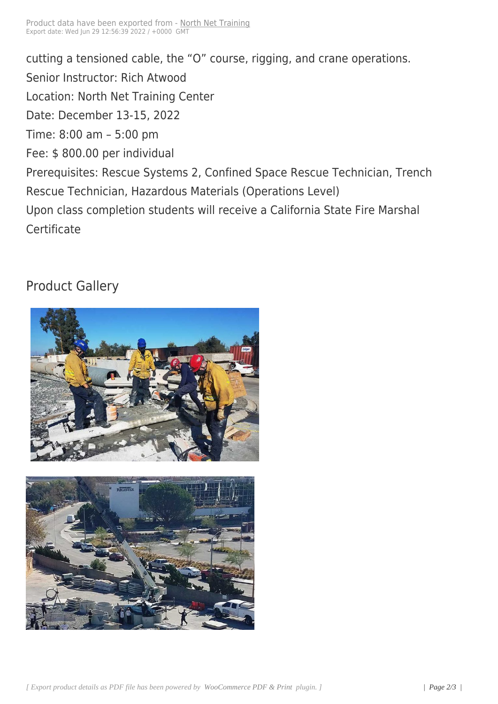cutting a tensioned cable, th[e "O" course,](https://northnettraining.net/?post_type=product&p=642) rigging, and crane operations. Senior Instructor: Rich Atwood Location: North Net Training Center Date: December 13-15, 2022 Time: 8:00 am – 5:00 pm Fee: \$ 800.00 per individual Prerequisites: Rescue Systems 2, Confined Space Rescue Technician, Trench Rescue Technician, Hazardous Materials (Operations Level) Upon class completion students will receive a California State Fire Marshal **Certificate** 

## Product Gallery